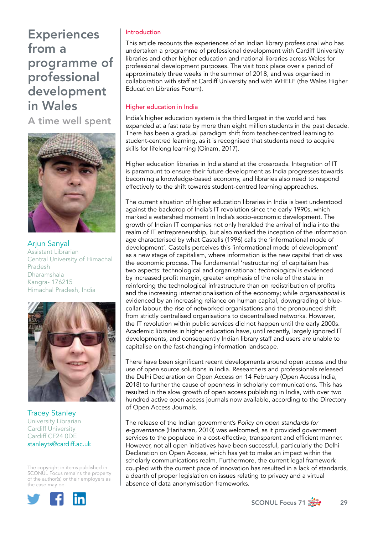A time well spent



Arjun Sanyal Assistant Librarian Central University of Himachal Pradesh Dharamshala Kangra- 176215 Himachal Pradesh, India



Tracey Stanley University Librarian Cardiff University Cardiff CF24 0DE stanleyts@cardiff.ac.uk

The copyright in items published in SCONUL Focus remains the property of the author(s) or their employers as the case may be.



### Introduction

This article recounts the experiences of an Indian library professional who has undertaken a programme of professional development with Cardiff University libraries and other higher education and national libraries across Wales for professional development purposes. The visit took place over a period of approximately three weeks in the summer of 2018, and was organised in collaboration with staff at Cardiff University and with WHELF (the Wales Higher Education Libraries Forum).

### Higher education in India  $\equiv$

India's higher education system is the third largest in the world and has expanded at a fast rate by more than eight million students in the past decade. There has been a gradual paradigm shift from teacher-centred learning to student-centred learning, as it is recognised that students need to acquire skills for lifelong learning (Oinam, 2017).

Higher education libraries in India stand at the crossroads. Integration of IT is paramount to ensure their future development as India progresses towards becoming a knowledge-based economy, and libraries also need to respond effectively to the shift towards student-centred learning approaches.

The current situation of higher education libraries in India is best understood against the backdrop of India's IT revolution since the early 1990s, which marked a watershed moment in India's socio-economic development. The growth of Indian IT companies not only heralded the arrival of India into the realm of IT entrepreneurship, but also marked the inception of the information age characterised by what Castells (1996) calls the 'informational mode of development'. Castells perceives this 'informational mode of development' as a new stage of capitalism, where information is the new capital that drives the economic process. The fundamental 'restructuring' of capitalism has two aspects: technological and organisational: *technological* is evidenced by increased profit margin, greater emphasis of the role of the state in reinforcing the technological infrastructure than on redistribution of profits and the increasing internationalisation of the economy; while *organisational* is evidenced by an increasing reliance on human capital, downgrading of bluecollar labour, the rise of networked organisations and the pronounced shift from strictly centralised organisations to decentralised networks. However, the IT revolution within public services did not happen until the early 2000s. Academic libraries in higher education have, until recently, largely ignored IT developments, and consequently Indian library staff and users are unable to capitalise on the fast-changing information landscape.

There have been significant recent developments around open access and the use of open source solutions in India. Researchers and professionals released the Delhi Declaration on Open Access on 14 February (Open Access India, 2018) to further the cause of openness in scholarly communications. This has resulted in the slow growth of open access publishing in India, with over two hundred active open access journals now available, according to the Directory of Open Access Journals.

The release of the Indian government's *Policy on open standards for e-governance* (Hariharan, 2010) was welcomed, as it provided government services to the populace in a cost-effective, transparent and efficient manner. However, not all open initiatives have been successful, particularly the Delhi Declaration on Open Access, which has yet to make an impact within the scholarly communications realm. Furthermore, the current legal framework coupled with the current pace of innovation has resulted in a lack of standards, a dearth of proper legislation on issues relating to privacy and a virtual absence of data anonymisation frameworks.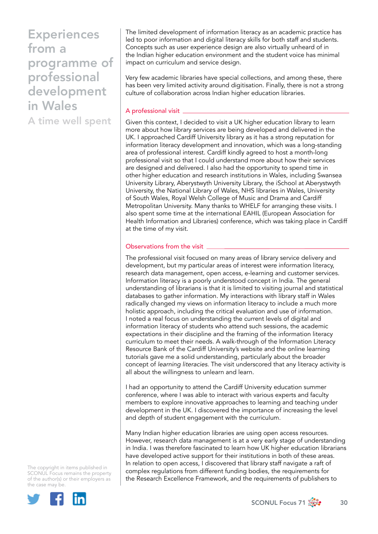A time well spent

The limited development of information literacy as an academic practice has led to poor information and digital literacy skills for both staff and students. Concepts such as user experience design are also virtually unheard of in the Indian higher education environment and the student voice has minimal impact on curriculum and service design.

Very few academic libraries have special collections, and among these, there has been very limited activity around digitisation. Finally, there is not a strong culture of collaboration across Indian higher education libraries.

#### A professional visit

Given this context, I decided to visit a UK higher education library to learn more about how library services are being developed and delivered in the UK. I approached Cardiff University library as it has a strong reputation for information literacy development and innovation, which was a long-standing area of professional interest. Cardiff kindly agreed to host a month-long professional visit so that I could understand more about how their services are designed and delivered. I also had the opportunity to spend time in other higher education and research institutions in Wales, including Swansea University Library, Aberystwyth University Library, the iSchool at Aberystwyth University, the National Library of Wales, NHS libraries in Wales, University of South Wales, Royal Welsh College of Music and Drama and Cardiff Metropolitan University. Many thanks to WHELF for arranging these visits. I also spent some time at the international EAHIL (European Association for Health Information and Libraries) conference, which was taking place in Cardiff at the time of my visit.

## Observations from the visit  $\overline{\phantom{a}}$

The professional visit focused on many areas of library service delivery and development, but my particular areas of interest were information literacy, research data management, open access, e-learning and customer services. Information literacy is a poorly understood concept in India. The general understanding of librarians is that it is limited to visiting journal and statistical databases to gather information. My interactions with library staff in Wales radically changed my views on information literacy to include a much more holistic approach, including the critical evaluation and use of information. I noted a real focus on understanding the current levels of digital and information literacy of students who attend such sessions, the academic expectations in their discipline and the framing of the information literacy curriculum to meet their needs. A walk-through of the Information Literacy Resource Bank of the Cardiff University's website and the online learning tutorials gave me a solid understanding, particularly about the broader concept of *learning literacies*. The visit underscored that any literacy activity is all about the willingness to unlearn and learn.

I had an opportunity to attend the Cardiff University education summer conference, where I was able to interact with various experts and faculty members to explore innovative approaches to learning and teaching under development in the UK. I discovered the importance of increasing the level and depth of student engagement with the curriculum.

Many Indian higher education libraries are using open access resources. However, research data management is at a very early stage of understanding in India. I was therefore fascinated to learn how UK higher education librarians have developed active support for their institutions in both of these areas. In relation to open access, I discovered that library staff navigate a raft of complex regulations from different funding bodies, the requirements for the Research Excellence Framework, and the requirements of publishers to

The copyright in items published in SCONUL Focus remains the property of the author(s) or their employers as the case may be.



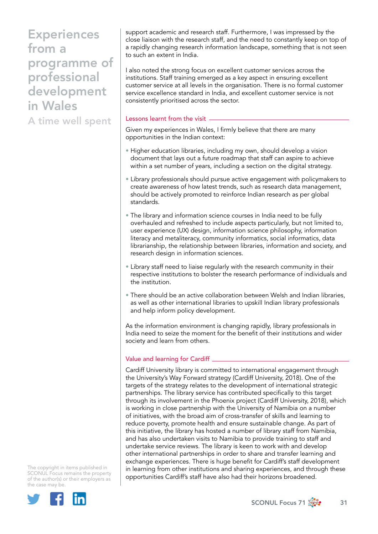A time well spent

support academic and research staff. Furthermore, I was impressed by the close liaison with the research staff, and the need to constantly keep on top of a rapidly changing research information landscape, something that is not seen to such an extent in India.

I also noted the strong focus on excellent customer services across the institutions. Staff training emerged as a key aspect in ensuring excellent customer service at all levels in the organisation. There is no formal customer service excellence standard in India, and excellent customer service is not consistently prioritised across the sector.

### Lessons learnt from the visit

Given my experiences in Wales, I firmly believe that there are many opportunities in the Indian context:

- Higher education libraries, including my own, should develop a vision document that lays out a future roadmap that staff can aspire to achieve within a set number of years, including a section on the digital strategy.
- Library professionals should pursue active engagement with policymakers to create awareness of how latest trends, such as research data management, should be actively promoted to reinforce Indian research as per global standards.
- The library and information science courses in India need to be fully overhauled and refreshed to include aspects particularly, but not limited to, user experience (UX) design, information science philosophy, information literacy and metaliteracy, community informatics, social informatics, data librarianship, the relationship between libraries, information and society, and research design in information sciences.
- Library staff need to liaise regularly with the research community in their respective institutions to bolster the research performance of individuals and the institution.
- There should be an active collaboration between Welsh and Indian libraries, as well as other international libraries to upskill Indian library professionals and help inform policy development.

As the information environment is changing rapidly, library professionals in India need to seize the moment for the benefit of their institutions and wider society and learn from others.

## Value and learning for Cardiff

Cardiff University library is committed to international engagement through the University's Way Forward strategy (Cardiff University, 2018). One of the targets of the strategy relates to the development of international strategic partnerships. The library service has contributed specifically to this target through its involvement in the Phoenix project (Cardiff University, 2018), which is working in close partnership with the University of Namibia on a number of initiatives, with the broad aim of cross-transfer of skills and learning to reduce poverty, promote health and ensure sustainable change. As part of this initiative, the library has hosted a number of library staff from Namibia, and has also undertaken visits to Namibia to provide training to staff and undertake service reviews. The library is keen to work with and develop other international partnerships in order to share and transfer learning and exchange experiences. There is huge benefit for Cardiff's staff development in learning from other institutions and sharing experiences, and through these opportunities Cardiff's staff have also had their horizons broadened.

The copyright in items published in SCONUL Focus remains the property of the author(s) or their employers as the case may be.



SCONUL Focus 71  $\frac{1}{200}$  31